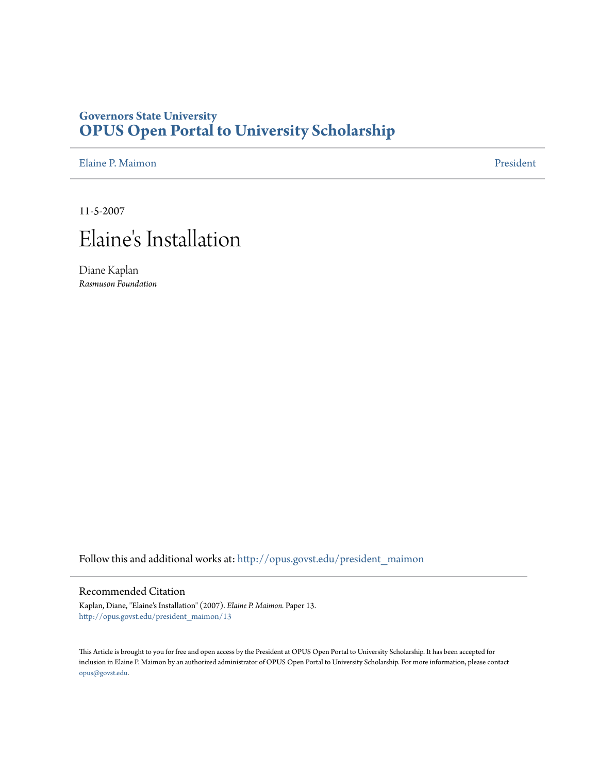## **Governors State University [OPUS Open Portal to University Scholarship](http://opus.govst.edu?utm_source=opus.govst.edu%2Fpresident_maimon%2F13&utm_medium=PDF&utm_campaign=PDFCoverPages)**

[Elaine P. Maimon](http://opus.govst.edu/president_maimon?utm_source=opus.govst.edu%2Fpresident_maimon%2F13&utm_medium=PDF&utm_campaign=PDFCoverPages) [President](http://opus.govst.edu/president?utm_source=opus.govst.edu%2Fpresident_maimon%2F13&utm_medium=PDF&utm_campaign=PDFCoverPages)

11-5-2007

## Elaine's Installation

Diane Kaplan *Rasmuson Foundation*

Follow this and additional works at: [http://opus.govst.edu/president\\_maimon](http://opus.govst.edu/president_maimon?utm_source=opus.govst.edu%2Fpresident_maimon%2F13&utm_medium=PDF&utm_campaign=PDFCoverPages)

## Recommended Citation

Kaplan, Diane, "Elaine's Installation" (2007). *Elaine P. Maimon.* Paper 13. [http://opus.govst.edu/president\\_maimon/13](http://opus.govst.edu/president_maimon/13?utm_source=opus.govst.edu%2Fpresident_maimon%2F13&utm_medium=PDF&utm_campaign=PDFCoverPages)

This Article is brought to you for free and open access by the President at OPUS Open Portal to University Scholarship. It has been accepted for inclusion in Elaine P. Maimon by an authorized administrator of OPUS Open Portal to University Scholarship. For more information, please contact [opus@govst.edu.](mailto:opus@govst.edu)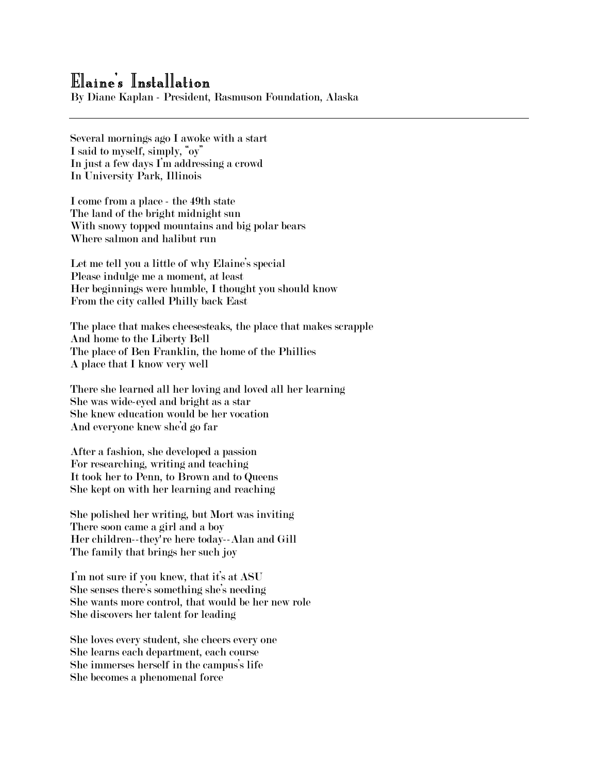## Elaine's Installation

By Diane Kaplan - President, Rasmuson Foundation, Alaska

Several mornings ago I awoke with a start I said to myself, simply, "oy" In just a few days I'm addressing a crowd In University Park, Illinois

I come from a place - the 49th state The land of the bright midnight sun With snowy topped mountains and big polar bears Where salmon and halibut run

Let me tell you a little of why Elaine's special Please indulge me a moment, at least Her beginnings were humble, I thought you should know From the city called Philly back East

The place that makes cheesesteaks, the place that makes scrapple And home to the Liberty Bell The place of Ben Franklin, the home of the Phillies A place that I know very well

There she learned all her loving and loved all her learning She was wide-eyed and bright as a star She knew education would be her vocation And everyone knew she'd go far

After a fashion, she developed a passion For researching, writing and teaching It took her to Penn, to Brown and to Queens She kept on with her learning and reaching

She polished her writing, but Mort was inviting There soon came a girl and a boy Her children--they're here today--Alan and Gill The family that brings her such joy

I'm not sure if you knew, that it's at ASU She senses there's something she's needing She wants more control, that would be her new role She discovers her talent for leading

She loves every student, she cheers every one She learns each department, each course She immerses herself in the campus's life She becomes a phenomenal force